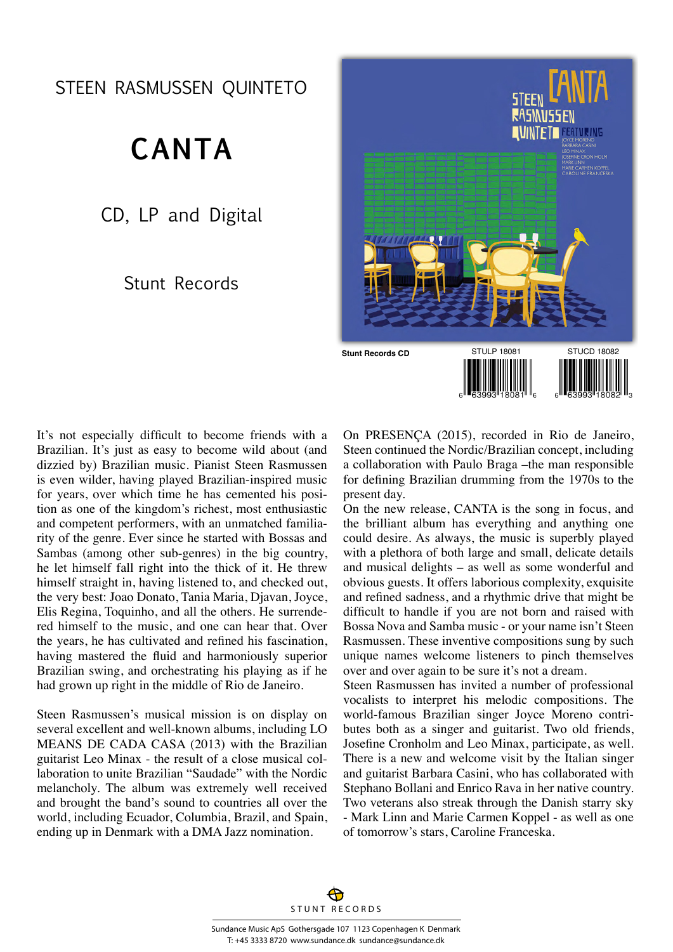STEEN RASMUSSEN QUINTETO

## **CANTA**

CD, LP and Digital

## Stunt Records



It's not especially difficult to become friends with a Brazilian. It's just as easy to become wild about (and dizzied by) Brazilian music. Pianist Steen Rasmussen is even wilder, having played Brazilian-inspired music for years, over which time he has cemented his position as one of the kingdom's richest, most enthusiastic and competent performers, with an unmatched familiarity of the genre. Ever since he started with Bossas and Sambas (among other sub-genres) in the big country, he let himself fall right into the thick of it. He threw himself straight in, having listened to, and checked out, the very best: Joao Donato, Tania Maria, Djavan, Joyce, Elis Regina, Toquinho, and all the others. He surrendered himself to the music, and one can hear that. Over the years, he has cultivated and refined his fascination, having mastered the fluid and harmoniously superior Brazilian swing, and orchestrating his playing as if he had grown up right in the middle of Rio de Janeiro.

Steen Rasmussen's musical mission is on display on several excellent and well-known albums, including LO MEANS DE CADA CASA (2013) with the Brazilian guitarist Leo Minax - the result of a close musical collaboration to unite Brazilian "Saudade" with the Nordic melancholy. The album was extremely well received and brought the band's sound to countries all over the world, including Ecuador, Columbia, Brazil, and Spain, ending up in Denmark with a DMA Jazz nomination.

On PRESENÇA (2015), recorded in Rio de Janeiro, Steen continued the Nordic/Brazilian concept, including a collaboration with Paulo Braga –the man responsible for defining Brazilian drumming from the 1970s to the present day.

On the new release, CANTA is the song in focus, and the brilliant album has everything and anything one could desire. As always, the music is superbly played with a plethora of both large and small, delicate details and musical delights – as well as some wonderful and obvious guests. It offers laborious complexity, exquisite and refined sadness, and a rhythmic drive that might be difficult to handle if you are not born and raised with Bossa Nova and Samba music - or your name isn't Steen Rasmussen. These inventive compositions sung by such unique names welcome listeners to pinch themselves over and over again to be sure it's not a dream.

Steen Rasmussen has invited a number of professional vocalists to interpret his melodic compositions. The world-famous Brazilian singer Joyce Moreno contributes both as a singer and guitarist. Two old friends, Josefine Cronholm and Leo Minax, participate, as well. There is a new and welcome visit by the Italian singer and guitarist Barbara Casini, who has collaborated with Stephano Bollani and Enrico Rava in her native country. Two veterans also streak through the Danish starry sky - Mark Linn and Marie Carmen Koppel - as well as one of tomorrow's stars, Caroline Franceska.